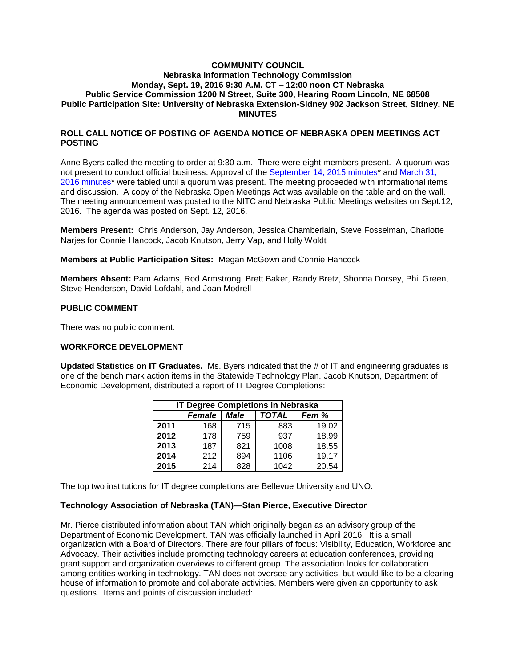## **COMMUNITY COUNCIL Nebraska Information Technology Commission Monday, Sept. 19, 2016 9:30 A.M. CT – 12:00 noon CT Nebraska Public Service Commission 1200 N Street, Suite 300, Hearing Room Lincoln, NE 68508 Public Participation Site: University of Nebraska Extension-Sidney 902 Jackson Street, Sidney, NE MINUTES**

## **ROLL CALL NOTICE OF POSTING OF AGENDA NOTICE OF NEBRASKA OPEN MEETINGS ACT POSTING**

Anne Byers called the meeting to order at 9:30 a.m. There were eight members present. A quorum was not present to conduct official business. Approval of the September 14, 2015 minutes\* and March 31, 2016 minutes\* were tabled until a quorum was present. The meeting proceeded with informational items and discussion. A copy of the Nebraska Open Meetings Act was available on the table and on the wall. The meeting announcement was posted to the NITC and Nebraska Public Meetings websites on Sept.12, 2016. The agenda was posted on Sept. 12, 2016.

**Members Present:** Chris Anderson, Jay Anderson, Jessica Chamberlain, Steve Fosselman, Charlotte Narjes for Connie Hancock, Jacob Knutson, Jerry Vap, and Holly Woldt

**Members at Public Participation Sites:** Megan McGown and Connie Hancock

**Members Absent:** Pam Adams, Rod Armstrong, Brett Baker, Randy Bretz, Shonna Dorsey, Phil Green, Steve Henderson, David Lofdahl, and Joan Modrell

#### **PUBLIC COMMENT**

There was no public comment.

## **WORKFORCE DEVELOPMENT**

**Updated Statistics on IT Graduates.** Ms. Byers indicated that the # of IT and engineering graduates is one of the bench mark action items in the Statewide Technology Plan. Jacob Knutson, Department of Economic Development, distributed a report of IT Degree Completions:

| <b>IT Degree Completions in Nebraska</b> |        |             |              |       |
|------------------------------------------|--------|-------------|--------------|-------|
|                                          | Female | <b>Male</b> | <b>TOTAL</b> | Fem % |
| 2011                                     | 168    | 715         | 883          | 19.02 |
| 2012                                     | 178    | 759         | 937          | 18.99 |
| 2013                                     | 187    | 821         | 1008         | 18.55 |
| 2014                                     | 212    | 894         | 1106         | 19.17 |
| 2015                                     | 214    | 828         | 1042         | 20.54 |

The top two institutions for IT degree completions are Bellevue University and UNO.

#### **Technology Association of Nebraska (TAN)—Stan Pierce, Executive Director**

Mr. Pierce distributed information about TAN which originally began as an advisory group of the Department of Economic Development. TAN was officially launched in April 2016. It is a small organization with a Board of Directors. There are four pillars of focus: Visibility, Education, Workforce and Advocacy. Their activities include promoting technology careers at education conferences, providing grant support and organization overviews to different group. The association looks for collaboration among entities working in technology. TAN does not oversee any activities, but would like to be a clearing house of information to promote and collaborate activities. Members were given an opportunity to ask questions. Items and points of discussion included: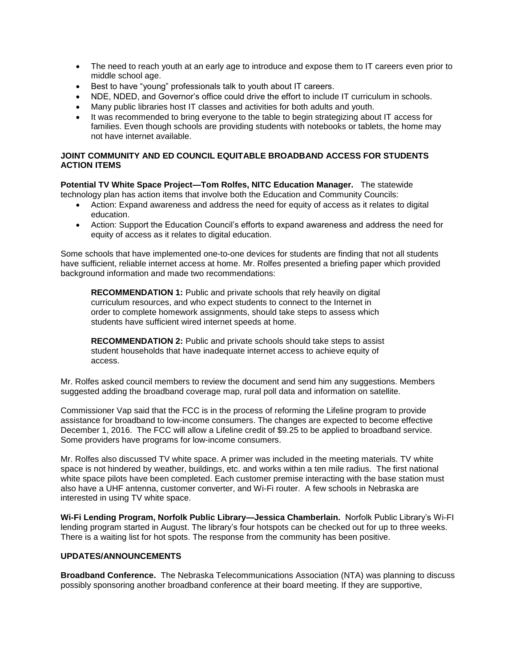- The need to reach youth at an early age to introduce and expose them to IT careers even prior to middle school age.
- Best to have "young" professionals talk to youth about IT careers.
- NDE, NDED, and Governor's office could drive the effort to include IT curriculum in schools.
- Many public libraries host IT classes and activities for both adults and youth.
- It was recommended to bring everyone to the table to begin strategizing about IT access for families. Even though schools are providing students with notebooks or tablets, the home may not have internet available.

# **JOINT COMMUNITY AND ED COUNCIL EQUITABLE BROADBAND ACCESS FOR STUDENTS ACTION ITEMS**

**Potential TV White Space Project—Tom Rolfes, NITC Education Manager.** The statewide technology plan has action items that involve both the Education and Community Councils:

- Action: Expand awareness and address the need for equity of access as it relates to digital education.
- Action: Support the Education Council's efforts to expand awareness and address the need for equity of access as it relates to digital education.

Some schools that have implemented one-to-one devices for students are finding that not all students have sufficient, reliable internet access at home. Mr. Rolfes presented a briefing paper which provided background information and made two recommendations:

**RECOMMENDATION 1:** Public and private schools that rely heavily on digital curriculum resources, and who expect students to connect to the Internet in order to complete homework assignments, should take steps to assess which students have sufficient wired internet speeds at home.

**RECOMMENDATION 2:** Public and private schools should take steps to assist student households that have inadequate internet access to achieve equity of access.

Mr. Rolfes asked council members to review the document and send him any suggestions. Members suggested adding the broadband coverage map, rural poll data and information on satellite.

Commissioner Vap said that the FCC is in the process of reforming the Lifeline program to provide assistance for broadband to low-income consumers. The changes are expected to become effective December 1, 2016. The FCC will allow a Lifeline credit of \$9.25 to be applied to broadband service. Some providers have programs for low-income consumers.

Mr. Rolfes also discussed TV white space. A primer was included in the meeting materials. TV white space is not hindered by weather, buildings, etc. and works within a ten mile radius. The first national white space pilots have been completed. Each customer premise interacting with the base station must also have a UHF antenna, customer converter, and Wi-Fi router. A few schools in Nebraska are interested in using TV white space.

**Wi-Fi Lending Program, Norfolk Public Library—Jessica Chamberlain.** Norfolk Public Library's Wi-FI lending program started in August. The library's four hotspots can be checked out for up to three weeks. There is a waiting list for hot spots. The response from the community has been positive.

## **UPDATES/ANNOUNCEMENTS**

**Broadband Conference.** The Nebraska Telecommunications Association (NTA) was planning to discuss possibly sponsoring another broadband conference at their board meeting. If they are supportive,